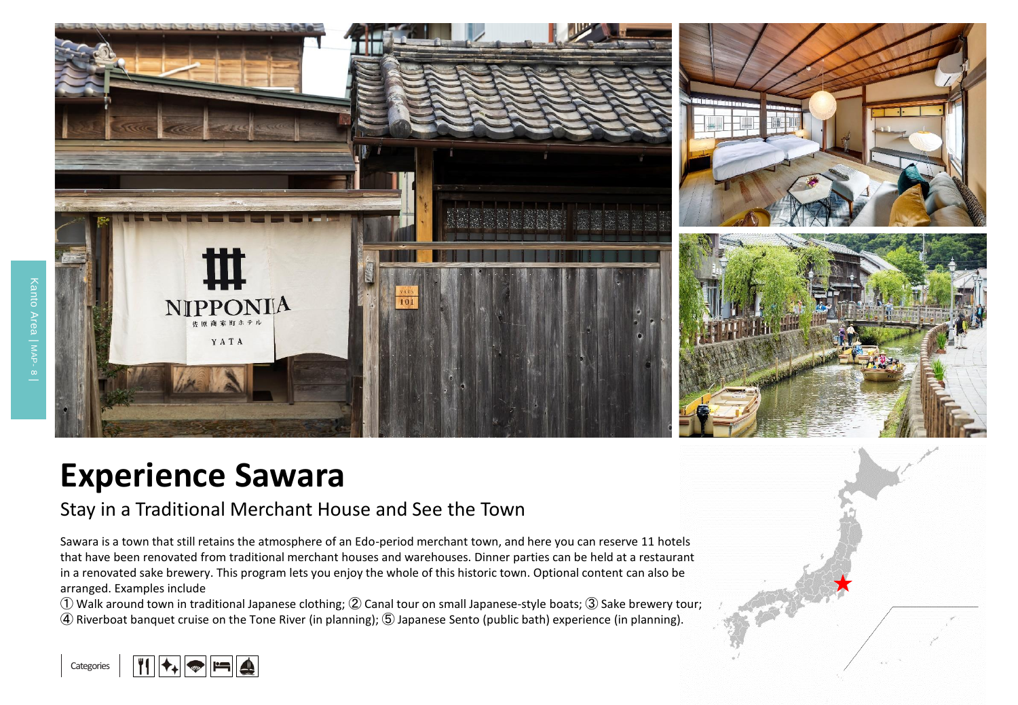

## **Experience Sawara**

## Stay in a Traditional Merchant House and See the Town

Sawara is a town that still retains the atmosphere of an Edo-period merchant town, and here you can reserve 11 hotels that have been renovated from traditional merchant houses and warehouses. Dinner parties can be held at a restaurant in a renovated sake brewery. This program lets you enjoy the whole of this historic town. Optional content can also be arranged. Examples include

① Walk around town in traditional Japanese clothing; ② Canal tour on small Japanese-style boats; ③ Sake brewery tour; ④ Riverboat banquet cruise on the Tone River (in planning); ⑤ Japanese Sento (public bath) experience (in planning).